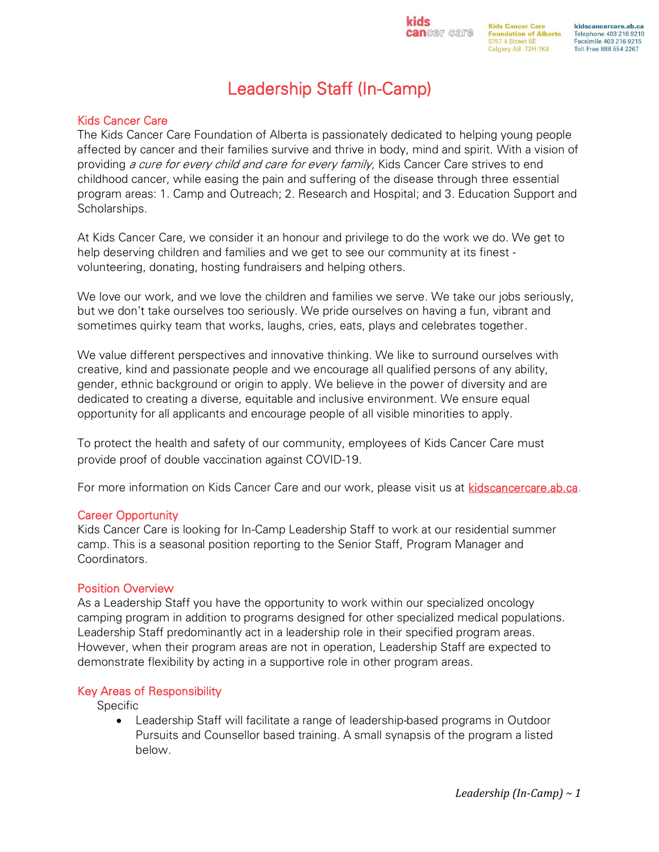

**Kids Cancer Care Foundation of Alberta** 5757 4 Street SE Calgary AB T2H 1K8

kidscancercare.ab.ca Telephone 403 216 9210<br>Facsimile 403 216 9215 Toll Free 888 554 2267

# Leadership Staff (In-Camp)

# Kids Cancer Care

The Kids Cancer Care Foundation of Alberta is passionately dedicated to helping young people affected by cancer and their families survive and thrive in body, mind and spirit. With a vision of providing a cure for every child and care for every family, Kids Cancer Care strives to end childhood cancer, while easing the pain and suffering of the disease through three essential program areas: 1. Camp and Outreach; 2. Research and Hospital; and 3. Education Support and Scholarships.

At Kids Cancer Care, we consider it an honour and privilege to do the work we do. We get to help deserving children and families and we get to see our community at its finest volunteering, donating, hosting fundraisers and helping others.

We love our work, and we love the children and families we serve. We take our jobs seriously, but we don't take ourselves too seriously. We pride ourselves on having a fun, vibrant and sometimes quirky team that works, laughs, cries, eats, plays and celebrates together.

We value different perspectives and innovative thinking. We like to surround ourselves with creative, kind and passionate people and we encourage all qualified persons of any ability, gender, ethnic background or origin to apply. We believe in the power of diversity and are dedicated to creating a diverse, equitable and inclusive environment. We ensure equal opportunity for all applicants and encourage people of all visible minorities to apply.

To protect the health and safety of our community, employees of Kids Cancer Care must provide proof of double vaccination against COVID-19.

For more information on Kids Cancer Care and our work, please visit us at [kidscancercare.ab.ca.](http://www.kidscancercare.ab.ca/)

## Career Opportunity

Kids Cancer Care is looking for In-Camp Leadership Staff to work at our residential summer camp. This is a seasonal position reporting to the Senior Staff, Program Manager and Coordinators.

## Position Overview

As a Leadership Staff you have the opportunity to work within our specialized oncology camping program in addition to programs designed for other specialized medical populations. Leadership Staff predominantly act in a leadership role in their specified program areas. However, when their program areas are not in operation, Leadership Staff are expected to demonstrate flexibility by acting in a supportive role in other program areas.

## Key Areas of Responsibility

Specific

• Leadership Staff will facilitate a range of leadership-based programs in Outdoor Pursuits and Counsellor based training. A small synapsis of the program a listed below.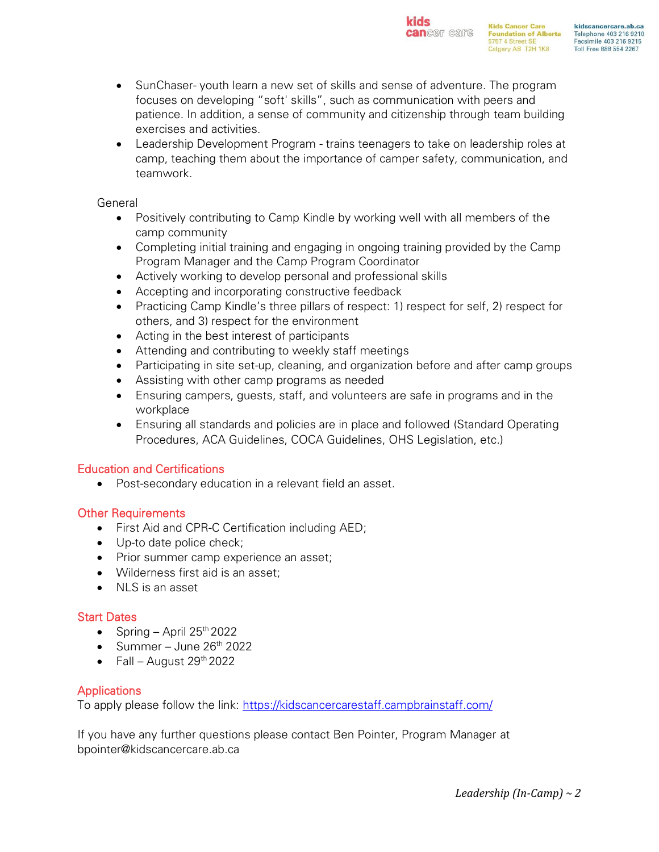5757 4 Street SE

- SunChaser- youth learn a new set of skills and sense of adventure. The program focuses on developing "soft' skills", such as communication with peers and patience. In addition, a sense of community and citizenship through team building exercises and activities.
- Leadership Development Program trains teenagers to take on leadership roles at camp, teaching them about the importance of camper safety, communication, and teamwork.

## General

- Positively contributing to Camp Kindle by working well with all members of the camp community
- Completing initial training and engaging in ongoing training provided by the Camp Program Manager and the Camp Program Coordinator
- Actively working to develop personal and professional skills
- Accepting and incorporating constructive feedback
- Practicing Camp Kindle's three pillars of respect: 1) respect for self, 2) respect for others, and 3) respect for the environment
- Acting in the best interest of participants
- Attending and contributing to weekly staff meetings
- Participating in site set-up, cleaning, and organization before and after camp groups
- Assisting with other camp programs as needed
- Ensuring campers, guests, staff, and volunteers are safe in programs and in the workplace
- Ensuring all standards and policies are in place and followed (Standard Operating Procedures, ACA Guidelines, COCA Guidelines, OHS Legislation, etc.)

# Education and Certifications

• Post-secondary education in a relevant field an asset.

# Other Requirements

- First Aid and CPR-C Certification including AED;
- Up-to date police check;
- Prior summer camp experience an asset;
- Wilderness first aid is an asset;
- NLS is an asset

# Start Dates

- Spring April  $25<sup>th</sup> 2022$
- Summer June  $26<sup>th</sup> 2022$
- Fall August  $29<sup>th</sup> 2022$

# **Applications**

To apply please follow the link:<https://kidscancercarestaff.campbrainstaff.com/>

If you have any further questions please contact Ben Pointer, Program Manager at bpointer@kidscancercare.ab.ca